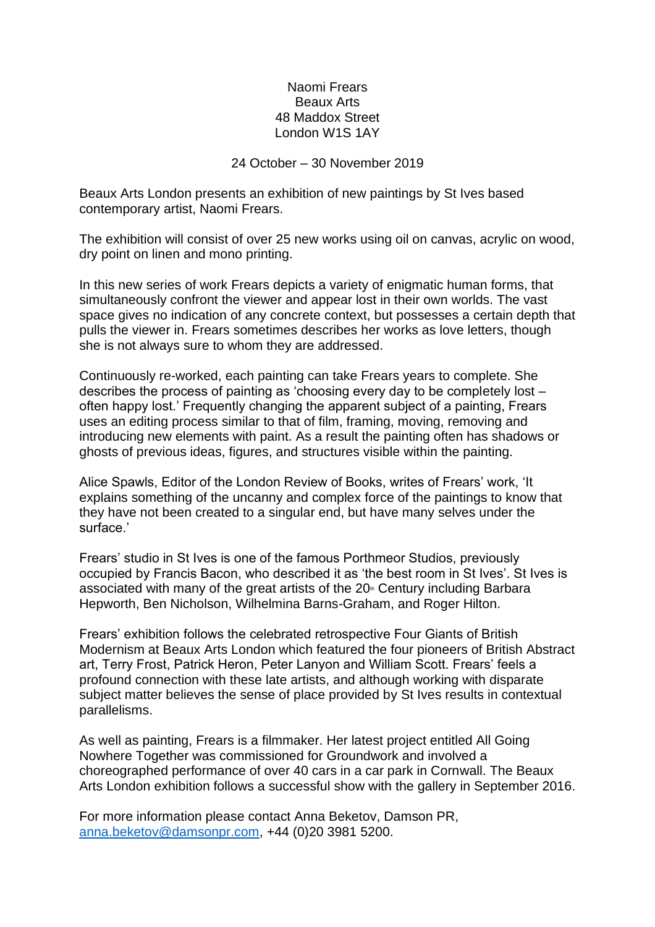## Naomi Frears Beaux Arts 48 Maddox Street London W1S 1AY

24 October – 30 November 2019

Beaux Arts London presents an exhibition of new paintings by St Ives based contemporary artist, Naomi Frears.

The exhibition will consist of over 25 new works using oil on canvas, acrylic on wood, dry point on linen and mono printing.

In this new series of work Frears depicts a variety of enigmatic human forms, that simultaneously confront the viewer and appear lost in their own worlds. The vast space gives no indication of any concrete context, but possesses a certain depth that pulls the viewer in. Frears sometimes describes her works as love letters, though she is not always sure to whom they are addressed.

Continuously re-worked, each painting can take Frears years to complete. She describes the process of painting as 'choosing every day to be completely lost – often happy lost.' Frequently changing the apparent subject of a painting, Frears uses an editing process similar to that of film, framing, moving, removing and introducing new elements with paint. As a result the painting often has shadows or ghosts of previous ideas, figures, and structures visible within the painting.

Alice Spawls, Editor of the London Review of Books, writes of Frears' work, 'It explains something of the uncanny and complex force of the paintings to know that they have not been created to a singular end, but have many selves under the surface.'

Frears' studio in St Ives is one of the famous Porthmeor Studios, previously occupied by Francis Bacon, who described it as 'the best room in St Ives'. St Ives is associated with many of the great artists of the  $20<sup>th</sup>$  Century including Barbara Hepworth, Ben Nicholson, Wilhelmina Barns-Graham, and Roger Hilton.

Frears' exhibition follows the celebrated retrospective Four Giants of British Modernism at Beaux Arts London which featured the four pioneers of British Abstract art, Terry Frost, Patrick Heron, Peter Lanyon and William Scott. Frears' feels a profound connection with these late artists, and although working with disparate subject matter believes the sense of place provided by St Ives results in contextual parallelisms.

As well as painting, Frears is a filmmaker. Her latest project entitled All Going Nowhere Together was commissioned for Groundwork and involved a choreographed performance of over 40 cars in a car park in Cornwall. The Beaux Arts London exhibition follows a successful show with the gallery in September 2016.

For more information please contact Anna Beketov, Damson PR, [anna.beketov@damsonpr.com,](mailto:anna.beketov@damsonpr.com) +44 (0)20 3981 5200.